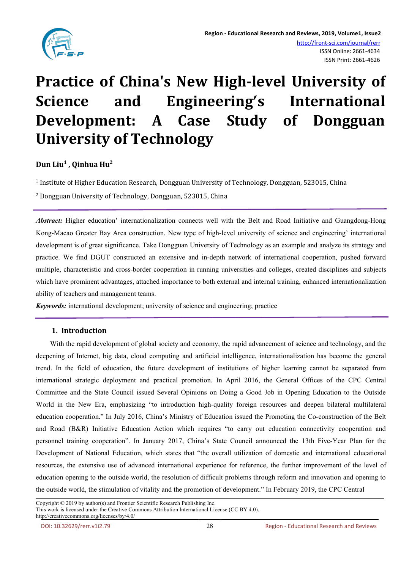

# **Practice of China's New High-level University of Science and Engineering's International Development: A Case Study of Dongguan University of Technology**

#### **Dun Liu 1 , Qinhua Hu 2**

1 Institute of Higher Education Research, Dongguan University of Technology, Dongguan, 523015, China

<sup>2</sup> Dongguan University of Technology, Dongguan, 523015, China

*Abstract:* Higher education' internationalization connects well with the Belt and Road Initiative and Guangdong-Hong Kong-Macao Greater Bay Area construction. New type of high-level university of science and engineering' international development is of great significance. Take Dongguan University of Technology as an example and analyze its strategy and practice. We find DGUT constructed an extensive and in-depth network of international cooperation, pushed forward multiple, characteristic and cross-border cooperation in running universities and colleges, created disciplines and subjects which have prominent advantages, attached importance to both external and internal training, enhanced internationalization ability of teachers and management teams.

*Keywords:* international development; university of science and engineering; practice

## **1. Introduction**

With the rapid development of global society and economy, the rapid advancement of science and technology, and the deepening of Internet, big data, cloud computing and artificial intelligence, internationalization has become the general trend. In the field of education, the future development of institutions of higher learning cannot be separated from international strategic deployment and practical promotion. In April 2016, the General Offices of the CPC Central Committee and the State Council issued Several Opinions on Doing a Good Job in Opening Education to the Outside World in the New Era, emphasizing "to introduction high-quality foreign resources and deepen bilateral multilateral education cooperation." In July 2016, China's Ministry of Education issued the Promoting the Co-construction of the Belt and Road (B&R) Initiative Education Action which requires "to carry out education connectivity cooperation and personnel training cooperation". In January 2017, China's State Council announced the 13th Five-Year Plan for the Development of National Education, which states that "the overall utilization of domestic and international educational resources, the extensive use of advanced international experience for reference, the further improvement of the level of education opening to the outside world, the resolution of difficult problems through reform and innovation and opening to the outside world, the stimulation of vitality and the promotion of development." In February 2019, the CPC Central Net the 13th Five-Year Plan for the<br>of domestic and international educational<br>experiment of the level of<br>ugh reform and innovation and opening to<br>In February 2019, the CPC Central<br>experimental contral<br>experimental contral<br>

Copyright © 2019 by author(s) and Frontier Scientific Research Publishing Inc. This work is licensed under the Creative Commons Attribution International License (CC BY 4.0).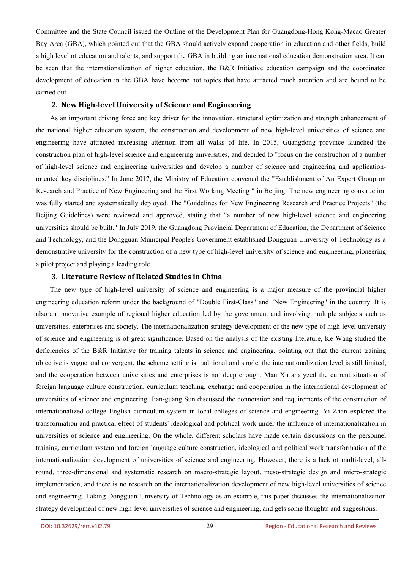Committee and the State Council issued the Outline of the Development Plan for Guangdong-Hong Kong-Macao Greater Bay Area (GBA), which pointed out that the GBA should actively expand cooperation in education and other fields, build a high level of education and talents, and support the GBA in building an international education demonstration area. It can be seen that the internationalization of higher education, the B&R Initiative education campaign and the coordinated development of education in the GBA have become hot topics that have attracted much attention and are bound to be carried out.

#### **2. New High-level University of Science and Engineering**

As an important driving force and key driver for the innovation, structural optimization and strength enhancement of the national higher education system, the construction and development of new high-level universities of science and engineering have attracted increasing attention from all walks of life. In 2015, Guangdong province launched the construction plan of high-level science and engineering universities, and decided to "focus on the construction of a number of high-level science and engineering universities and develop a number of science and engineering and application oriented key disciplines." In June 2017, the Ministry of Education convened the "Establishment of An Expert Group on Research and Practice of New Engineering and the First Working Meeting " in Beijing. The new engineering construction was fully started and systematically deployed. The "Guidelines for New Engineering Research and Practice Projects" (the Beijing Guidelines) were reviewed and approved, stating that "a number of new high-level science and engineering universities should be built." In July 2019, the Guangdong Provincial Department of Education, the Department of Science and Technology, and the Dongguan Municipal People's Government established Dongguan University of Technology as a demonstrative university for the construction of a new type of high-level university of science and engineering, pioneering a pilot project and playing a leading role.

### **3. Literature Review of Related Studies in China**

The new type of high-level university of science and engineering is a major measure of the provincial higher engineering education reform under the background of "Double First-Class" and "New Engineering" in the country. It is also an innovative example of regional higher education led by the government and involving multiple subjects such as universities, enterprises and society. The internationalization strategy development of the new type of high-level university of science and engineering is of great significance. Based on the analysis of the existing literature, Ke Wang studied the deficiencies of the B&R Initiative for training talents in science and engineering, pointing out that the current training objective isvague and convergent, the scheme setting is traditional and single, the internationalization level is still limited, and the cooperation between universities and enterprises is not deep enough. Man Xu analyzed the current situation of foreign language culture construction, curriculum teaching, exchange and cooperation in the international development of universities of science and engineering. Jian-guang Sun discussed the connotation and requirements of the construction of internationalized college English curriculum system in local colleges of science and engineering. Yi Zhan explored the transformation and practical effect of students' ideological and political work under the influence of internationalization in universities of science and engineering. On the whole, different scholars have made certain discussions on the personnel training, curriculum system and foreign language culture construction, ideological and political work transformation of the internationalization development of universities of science and engineering. However, there isa lack of multi-level, allround, three-dimensional and systematic research on macro-strategic layout, meso-strategic design and micro-strategic implementation, and there is no research on the internationalization development of new high-level universities of science and engineering. Taking Dongguan University of Technology as an example, this paper discusses the internationalization strategy development of new high-level universities of science and engineering, and gets some thoughts and suggestions. made certain discussions on the personnel<br>al and political work transformation of the<br>owever, there is a lack of multi-level, all-<br>meso-strategic design and micro-strategic<br>t of new high-level universities of science<br>nis p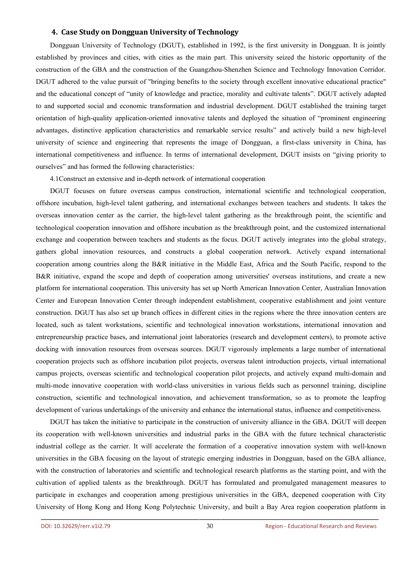#### **4. Case Study on Dongguan University of Technology**

Dongguan University of Technology (DGUT), established in 1992, is the first university in Dongguan. It is jointly established by provinces and cities, with cities as the main part. This university seized the historic opportunity of the construction of the GBA and the construction of the Guangzhou-Shenzhen Science and Technology Innovation Corridor. DGUT adhered to the value pursuit of "bringing benefits to the society through excellent innovative educational practice" and the educational concept of "unity of knowledge and practice, morality and cultivate talents". DGUT actively adapted to and supported social and economic transformation and industrial development. DGUT established the training target orientation of high-quality application-oriented innovative talents and deployed the situation of "prominent engineering advantages, distinctive application characteristics and remarkable service results" and actively build a new high-level university of science and engineering that represents the image of Dongguan, a first-class university in China, has international competitiveness and influence. In terms of international development, DGUT insists on "giving priority to ourselves" and has formed the following characteristics:

4.1Construct an extensive and in-depth network of international cooperation

DGUT focuses on future overseas campus construction, international scientific and technological cooperation, offshore incubation, high-level talent gathering, and international exchanges between teachers and students. It takes the overseas innovation center as the carrier, the high-level talent gathering as the breakthrough point, the scientific and technological cooperation innovation and offshore incubation as the breakthrough point, and the customized international exchange and cooperation between teachers and students as the focus. DGUT actively integrates into the global strategy, gathers global innovation resources, and constructs a global cooperation network. Actively expand international cooperation among countries along the B&R initiative in the Middle East, Africa and the South Pacific, respond to the B&R initiative, expand the scope and depth of cooperation among universities' overseas institutions, and create a new platform for international cooperation. This university has set up North American Innovation Center, Australian Innovation Center and European Innovation Center through independent establishment, cooperative establishment and joint venture construction. DGUT has also set up branch offices in different cities in the regions where the three innovation centers are located, such as talent workstations, scientific and technological innovation workstations, international innovation and entrepreneurship practice bases, and international joint laboratories (research and development centers), to promote active docking with innovation resources from overseas sources. DGUT vigorously implements a large number of international cooperation projects such as offshore incubation pilot projects, overseas talent introduction projects, virtual international campus projects, overseas scientific and technological cooperation pilot projects, and actively expand multi-domain and multi-mode innovative cooperation with world-class universities in various fields such as personnel training, discipline construction, scientific and technological innovation, and achievement transformation, so as to promote the leapfrog development of various undertakings of the university and enhance the international status, influence and competitiveness.

DGUT has taken the initiative to participate in the construction of university alliance in the GBA. DGUT will deepen its cooperation with well-known universities and industrial parks in the GBA with the future technical characteristic industrial college as the carrier. It will accelerate the formation of a cooperative innovation system with well-known universities in the GBA focusing on the layout of strategic emerging industries in Dongguan, based on the GBA alliance, with the construction of laboratories and scientific and technological research platforms as the starting point, and with the cultivation of applied talents as the breakthrough. DGUT has formulated and promulgated management measures to participate in exchanges and cooperation among prestigious universities in the GBA, deepened cooperation with City University of Hong Kong and Hong Kong Polytechnic University, and built a Bay Area region cooperation platform in A with the future technical characteristic<br>ative innovation system with well-known<br>in Dongguan, based on the GBA alliance,<br>latforms as the starting point, and with the<br>d promulgated management measures to<br>e GBA, deepened c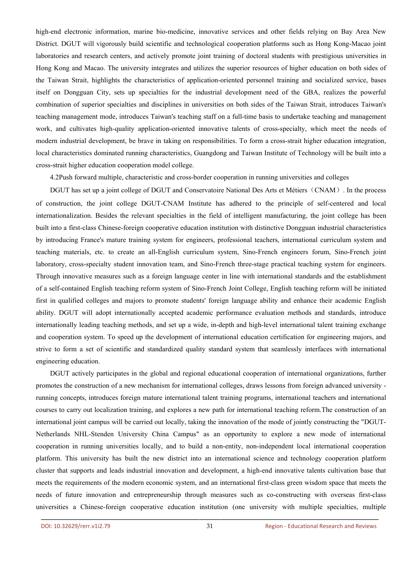high-end electronic information, marine bio-medicine, innovative services and other fields relying on Bay Area New District. DGUT will vigorously build scientific and technological cooperation platforms such as Hong Kong-Macao joint laboratories and research centers, and actively promote joint training of doctoral students with prestigious universities in Hong Kong and Macao. The university integrates and utilizes the superior resources of higher education on both sides of the Taiwan Strait, highlights the characteristics of application-oriented personnel training and socialized service, bases itself on Dongguan City, sets up specialties for the industrial development need of the GBA, realizes the powerful combination of superior specialties and disciplines in universities on both sides of the Taiwan Strait, introduces Taiwan's teaching management mode, introduces Taiwan's teaching staff on a full-time basis to undertake teaching and management work, and cultivates high-quality application-oriented innovative talents of cross-specialty, which meet the needs of modern industrial development, be brave in taking on responsibilities. To form a cross-strait higher education integration, local characteristics dominated running characteristics, Guangdong and Taiwan Institute of Technology will be built into a cross-strait higher education cooperation model college.

4.2Push forward multiple, characteristic and cross-border cooperation in running universities and colleges

DGUT has set up a joint college of DGUT and Conservatoire National Des Arts et Métiers (CNAM). In the process of construction, the joint college DGUT-CNAM Institute has adhered to the principle of self-centered and local internationalization. Besides the relevant specialties in the field of intelligent manufacturing, the joint college has been built into a first-class Chinese-foreign cooperative education institution with distinctive Dongguan industrial characteristics by introducing France's mature training system for engineers, professional teachers, international curriculum system and teaching materials, etc. to create an all-English curriculum system, Sino-French engineers forum, Sino-French joint laboratory, cross-specialty student innovation team, and Sino-French three-stage practical teaching system for engineers. Through innovative measures such as a foreign language center in line with international standards and the establishment of a self-contained English teaching reform system of Sino-French Joint College, English teaching reform will be initiated first in qualified colleges and majors to promote students' foreign language ability and enhance their academic English ability. DGUT will adopt internationally accepted academic performance evaluation methods and standards, introduce internationally leading teaching methods, and set up a wide, in-depth and high-level international talent training exchange and cooperation system. To speed up the development of international education certification for engineering majors, and strive to form a set of scientific and standardized quality standard system that seamlessly interfaces with international engineering education.

DGUT actively participates in the global and regional educational cooperation of international organizations, further promotes the construction of a new mechanism for international colleges, draws lessons from foreign advanced university running concepts, introduces foreign mature international talent training programs, international teachers and international courses to carry out localization training, and explores a new path for international teaching reform.The construction of an international joint campus will be carried out locally, taking the innovation of the mode of jointly constructing the "DGUT-Netherlands NHL-Stenden University China Campus" as an opportunity to explore a new mode of international cooperation in running universities locally, and to build a non-entity, non-independent local international cooperation platform. This university has built the new district into an international science and technology cooperation platform cluster that supports and leads industrial innovation and development, a high-end innovative talents cultivation base that meets the requirements of the modern economic system, and an international first-class green wisdom space that meets the needs of future innovation and entrepreneurship through measures such as co-constructing with overseas first-class universities a Chinese-foreign cooperative education institution (one university with multiple specialties, multiple explore a new mode of international<br>dependent local international cooperation<br>nce and technology cooperation platform<br>nd innovative talents cultivation base that<br>st-class green wisdom space that meets the<br>co-constructing w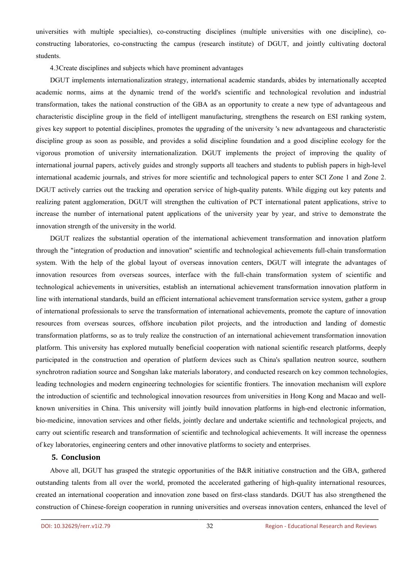universities with multiple specialties), co-constructing disciplines (multiple universities with one discipline), co constructing laboratories, co-constructing the campus (research institute) of DGUT, and jointly cultivating doctoral students.

4.3Create disciplines and subjects which have prominent advantages

DGUT implements internationalization strategy, international academic standards, abides by internationally accepted academic norms, aims at the dynamic trend of the world's scientific and technological revolution and industrial transformation, takes the national construction of the GBA as an opportunity to create a new type of advantageous and characteristic discipline group in the field of intelligent manufacturing, strengthens the research on ESI ranking system, gives key support to potential disciplines, promotes the upgrading of the university 's new advantageous and characteristic discipline group as soon as possible, and provides a solid discipline foundation and a good discipline ecology for the vigorous promotion of university internationalization. DGUT implements the project of improving the quality of international journal papers, actively guides and strongly supports all teachers and students to publish papers in high-level international academic journals, and strives for more scientific and technological papers to enter SCI Zone 1 and Zone 2. DGUT actively carries out the tracking and operation service of high-quality patents. While digging out key patents and realizing patent agglomeration, DGUT will strengthen the cultivation of PCT international patent applications, strive to increase the number of international patent applications of the university year by year, and strive to demonstrate the innovation strength of the university in the world.

DGUT realizes the substantial operation of the international achievement transformation and innovation platform through the "integration of production and innovation" scientific and technological achievements full-chain transformation system. With the help of the global layout of overseas innovation centers, DGUT will integrate the advantages of innovation resources from overseas sources, interface with the full-chain transformation system of scientific and technological achievements in universities, establish an international achievement transformation innovation platform in line with international standards, build an efficient international achievement transformation service system, gather a group of international professionals to serve the transformation of international achievements, promote the capture of innovation resources from overseas sources, offshore incubation pilot projects, and the introduction and landing of domestic transformation platforms, so as to truly realize the construction of an international achievement transformation innovation platform. This university has explored mutually beneficial cooperation with national scientific research platforms, deeply participated in the construction and operation of platform devices such as China's spallation neutron source, southern synchrotron radiation source and Songshan lake materials laboratory, and conducted research on key common technologies, leading technologies and modern engineering technologies for scientific frontiers. The innovation mechanism will explore the introduction of scientific and technological innovation resources from universities in Hong Kong and Macao and well known universities in China. This university will jointly build innovation platforms in high-end electronic information, bio-medicine, innovation services and other fields, jointly declare and undertake scientific and technological projects, and carry out scientific research and transformation of scientific and technological achievements. It will increase the openness of key laboratories, engineering centers and other innovative platforms to society and enterprises.

### **5. Conclusion**

Above all, DGUT has grasped the strategic opportunities of the B&R initiative construction and the GBA, gathered outstanding talents from all over the world, promoted the accelerated gathering of high-quality international resources, created an international cooperation and innovation zone based on first-class standards. DGUT has also strengthened the construction of Chinese-foreign cooperation in running universities and overseas innovation centers, enhanced the level of chievements. It will increase the openness<br>and enterprises.<br>ative construction and the GBA, gathered<br>ng of high-quality international resources,<br>andards. DGUT has also strengthened the<br>innovation centers, enhanced the leve